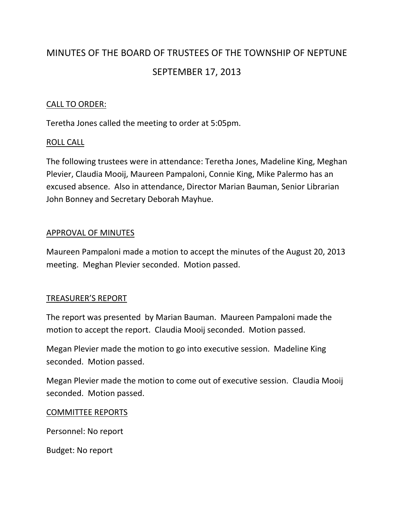# MINUTES OF THE BOARD OF TRUSTEES OF THE TOWNSHIP OF NEPTUNE SEPTEMBER 17, 2013

# CALL TO ORDER:

Teretha Jones called the meeting to order at 5:05pm.

# ROLL CALL

The following trustees were in attendance: Teretha Jones, Madeline King, Meghan Plevier, Claudia Mooij, Maureen Pampaloni, Connie King, Mike Palermo has an excused absence. Also in attendance, Director Marian Bauman, Senior Librarian John Bonney and Secretary Deborah Mayhue.

# APPROVAL OF MINUTES

Maureen Pampaloni made a motion to accept the minutes of the August 20, 2013 meeting. Meghan Plevier seconded. Motion passed.

# TREASURER'S REPORT

The report was presented by Marian Bauman. Maureen Pampaloni made the motion to accept the report. Claudia Mooij seconded. Motion passed.

Megan Plevier made the motion to go into executive session. Madeline King seconded. Motion passed.

Megan Plevier made the motion to come out of executive session. Claudia Mooij seconded. Motion passed.

# COMMITTEE REPORTS

Personnel: No report

Budget: No report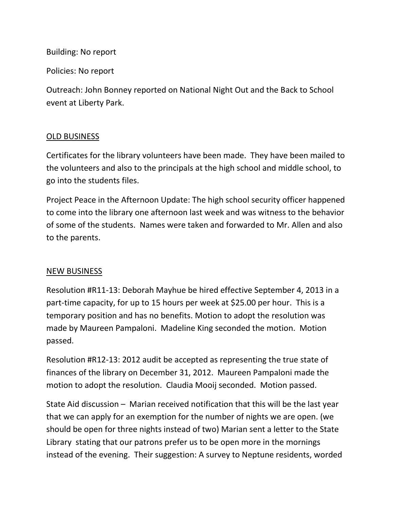Building: No report

Policies: No report

Outreach: John Bonney reported on National Night Out and the Back to School event at Liberty Park.

# OLD BUSINESS

Certificates for the library volunteers have been made. They have been mailed to the volunteers and also to the principals at the high school and middle school, to go into the students files.

Project Peace in the Afternoon Update: The high school security officer happened to come into the library one afternoon last week and was witness to the behavior of some of the students. Names were taken and forwarded to Mr. Allen and also to the parents.

# NEW BUSINESS

Resolution #R11-13: Deborah Mayhue be hired effective September 4, 2013 in a part-time capacity, for up to 15 hours per week at \$25.00 per hour. This is a temporary position and has no benefits. Motion to adopt the resolution was made by Maureen Pampaloni. Madeline King seconded the motion. Motion passed.

Resolution #R12-13: 2012 audit be accepted as representing the true state of finances of the library on December 31, 2012. Maureen Pampaloni made the motion to adopt the resolution. Claudia Mooij seconded. Motion passed.

State Aid discussion – Marian received notification that this will be the last year that we can apply for an exemption for the number of nights we are open. (we should be open for three nights instead of two) Marian sent a letter to the State Library stating that our patrons prefer us to be open more in the mornings instead of the evening. Their suggestion: A survey to Neptune residents, worded